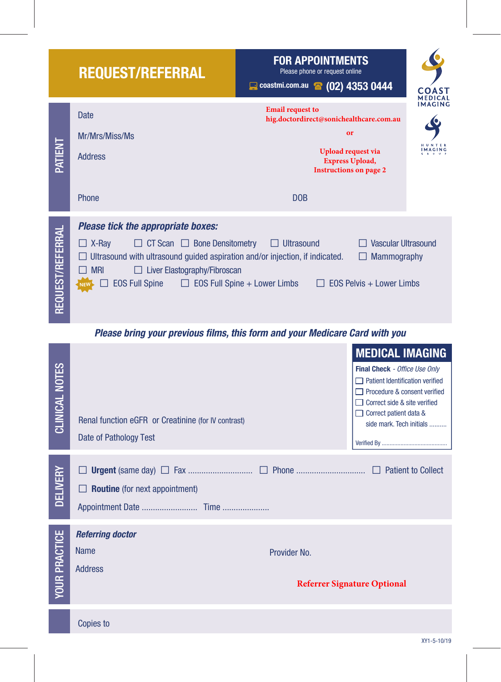|                         | <b>REQUEST/REFERRAL</b>                                                                                                                                                                                                                                                                                   | <b>FOR APPOINTMENTS</b><br>Please phone or request online<br>Coastmi.com.au (02) 4353 0444                                                                                   | <b>COAST</b><br><b>MEDICAL</b> |
|-------------------------|-----------------------------------------------------------------------------------------------------------------------------------------------------------------------------------------------------------------------------------------------------------------------------------------------------------|------------------------------------------------------------------------------------------------------------------------------------------------------------------------------|--------------------------------|
| PATIENT                 | <b>Date</b><br>Mr/Mrs/Miss/Ms<br><b>Address</b><br>Phone                                                                                                                                                                                                                                                  | <b>Email request to</b><br>hig.doctordirect@sonichealthcare.com.au<br>or<br>Upload request via<br><b>Express Upload,</b><br><b>Instructions on page 2</b><br>D <sub>OB</sub> | <b>IMAGING</b><br>H U N T E R  |
| <b>REQUEST/REFERRAL</b> | <b>Please tick the appropriate boxes:</b><br>$\Box$ CT Scan $\Box$ Bone Densitometry<br>$\Box$ X-Ray<br>$\Box$ Ultrasound with ultrasound guided aspiration and/or injection, if indicated.<br><b>MRI</b><br>$\Box$ Liver Elastography/Fibroscan<br>EOS Full Spine<br>$\Box$ EOS Full Spine + Lower Limbs | Vascular Ultrasound<br>$\Box$ Ultrasound<br><b>Mammography</b><br>$\Box$<br>$\Box$ EOS Pelvis + Lower Limbs                                                                  |                                |

Please bring your previous films, this form and your Medicare Card with you

| <b>CLINICAL NOTES</b> | Renal function eGFR or Creatinine (for IV contrast)  | <b>MEDICAL IMAGING</b><br>Final Check - Office Use Only<br>$\Box$ Patient Identification verified<br>Procedure & consent verified<br>$\Box$ Correct side & site verified<br>$\Box$ Correct patient data &<br>side mark. Tech initials |  |  |
|-----------------------|------------------------------------------------------|---------------------------------------------------------------------------------------------------------------------------------------------------------------------------------------------------------------------------------------|--|--|
|                       | Date of Pathology Test                               |                                                                                                                                                                                                                                       |  |  |
| <b>DELIVERY</b>       | <b>Routine</b> (for next appointment)                |                                                                                                                                                                                                                                       |  |  |
|                       | <b>Referring doctor</b>                              |                                                                                                                                                                                                                                       |  |  |
|                       | <b>Name</b><br>Provider No.                          |                                                                                                                                                                                                                                       |  |  |
| <b>YOUR PRACTICE</b>  | <b>Address</b><br><b>Referrer Signature Optional</b> |                                                                                                                                                                                                                                       |  |  |
|                       | Copies to                                            |                                                                                                                                                                                                                                       |  |  |